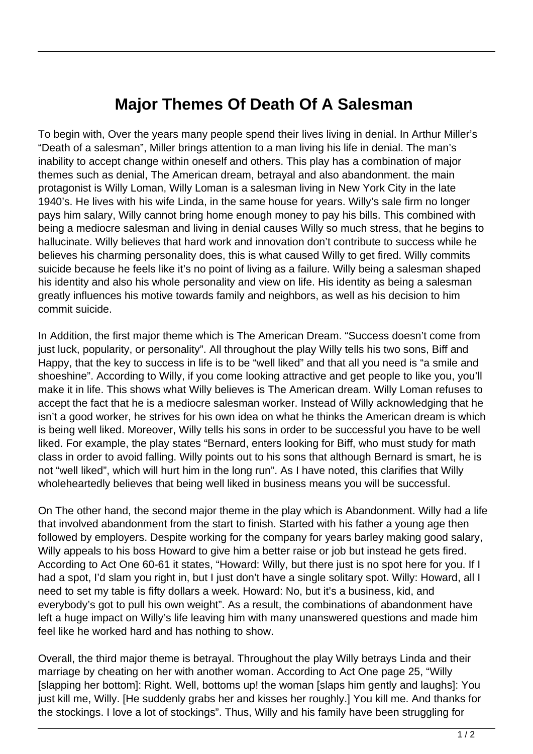## **Major Themes Of Death Of A Salesman**

To begin with, Over the years many people spend their lives living in denial. In Arthur Miller's "Death of a salesman", Miller brings attention to a man living his life in denial. The man's inability to accept change within oneself and others. This play has a combination of major themes such as denial, The American dream, betrayal and also abandonment. the main protagonist is Willy Loman, Willy Loman is a salesman living in New York City in the late 1940's. He lives with his wife Linda, in the same house for years. Willy's sale firm no longer pays him salary, Willy cannot bring home enough money to pay his bills. This combined with being a mediocre salesman and living in denial causes Willy so much stress, that he begins to hallucinate. Willy believes that hard work and innovation don't contribute to success while he believes his charming personality does, this is what caused Willy to get fired. Willy commits suicide because he feels like it's no point of living as a failure. Willy being a salesman shaped his identity and also his whole personality and view on life. His identity as being a salesman greatly influences his motive towards family and neighbors, as well as his decision to him commit suicide.

In Addition, the first major theme which is The American Dream. "Success doesn't come from just luck, popularity, or personality". All throughout the play Willy tells his two sons, Biff and Happy, that the key to success in life is to be "well liked" and that all you need is "a smile and shoeshine". According to Willy, if you come looking attractive and get people to like you, you'll make it in life. This shows what Willy believes is The American dream. Willy Loman refuses to accept the fact that he is a mediocre salesman worker. Instead of Willy acknowledging that he isn't a good worker, he strives for his own idea on what he thinks the American dream is which is being well liked. Moreover, Willy tells his sons in order to be successful you have to be well liked. For example, the play states "Bernard, enters looking for Biff, who must study for math class in order to avoid falling. Willy points out to his sons that although Bernard is smart, he is not "well liked", which will hurt him in the long run". As I have noted, this clarifies that Willy wholeheartedly believes that being well liked in business means you will be successful.

On The other hand, the second major theme in the play which is Abandonment. Willy had a life that involved abandonment from the start to finish. Started with his father a young age then followed by employers. Despite working for the company for years barley making good salary, Willy appeals to his boss Howard to give him a better raise or job but instead he gets fired. According to Act One 60-61 it states, "Howard: Willy, but there just is no spot here for you. If I had a spot, I'd slam you right in, but I just don't have a single solitary spot. Willy: Howard, all I need to set my table is fifty dollars a week. Howard: No, but it's a business, kid, and everybody's got to pull his own weight". As a result, the combinations of abandonment have left a huge impact on Willy's life leaving him with many unanswered questions and made him feel like he worked hard and has nothing to show.

Overall, the third major theme is betrayal. Throughout the play Willy betrays Linda and their marriage by cheating on her with another woman. According to Act One page 25, "Willy [slapping her bottom]: Right. Well, bottoms up! the woman [slaps him gently and laughs]: You just kill me, Willy. [He suddenly grabs her and kisses her roughly.] You kill me. And thanks for the stockings. I love a lot of stockings". Thus, Willy and his family have been struggling for